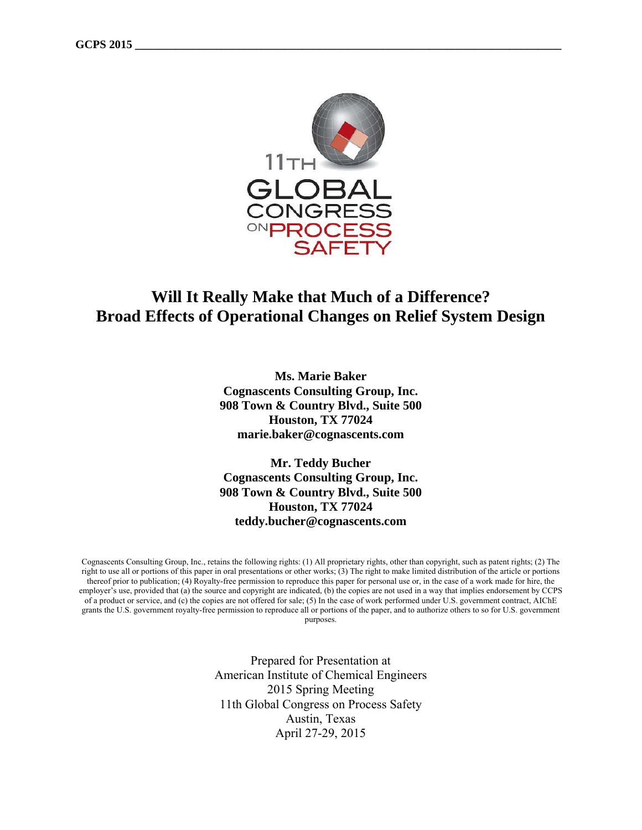

# **Will It Really Make that Much of a Difference? Broad Effects of Operational Changes on Relief System Design**

**Ms. Marie Baker Cognascents Consulting Group, Inc. 908 Town & Country Blvd., Suite 500 Houston, TX 77024 marie.baker@cognascents.com** 

**Mr. Teddy Bucher Cognascents Consulting Group, Inc. 908 Town & Country Blvd., Suite 500 Houston, TX 77024 teddy.bucher@cognascents.com** 

Cognascents Consulting Group, Inc., retains the following rights: (1) All proprietary rights, other than copyright, such as patent rights; (2) The right to use all or portions of this paper in oral presentations or other works; (3) The right to make limited distribution of the article or portions thereof prior to publication; (4) Royalty-free permission to reproduce this paper for personal use or, in the case of a work made for hire, the employer's use, provided that (a) the source and copyright are indicated, (b) the copies are not used in a way that implies endorsement by CCPS of a product or service, and (c) the copies are not offered for sale; (5) In the case of work performed under U.S. government contract, AIChE grants the U.S. government royalty-free permission to reproduce all or portions of the paper, and to authorize others to so for U.S. government purposes.

> Prepared for Presentation at American Institute of Chemical Engineers 2015 Spring Meeting 11th Global Congress on Process Safety Austin, Texas April 27-29, 2015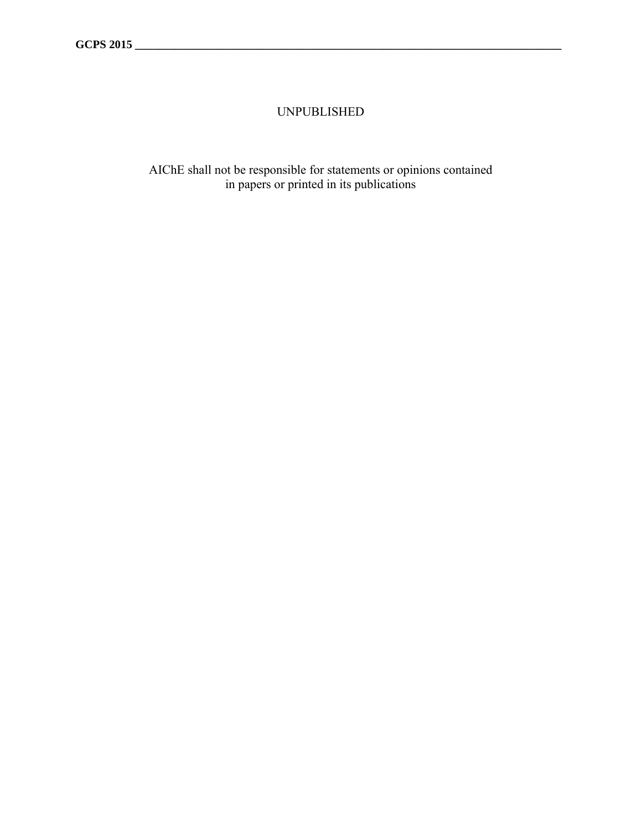### UNPUBLISHED

AIChE shall not be responsible for statements or opinions contained in papers or printed in its publications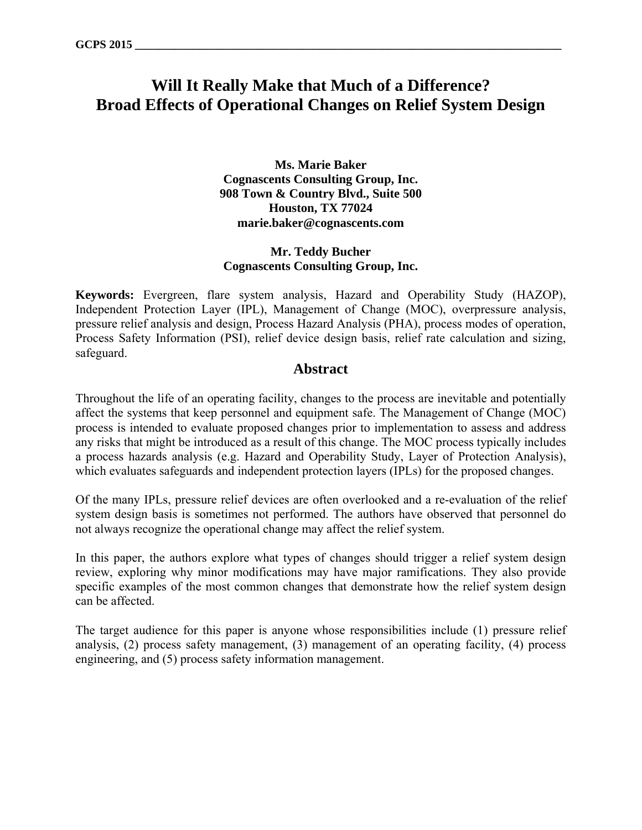# **Will It Really Make that Much of a Difference? Broad Effects of Operational Changes on Relief System Design**

**Ms. Marie Baker Cognascents Consulting Group, Inc. 908 Town & Country Blvd., Suite 500 Houston, TX 77024 marie.baker@cognascents.com** 

#### **Mr. Teddy Bucher Cognascents Consulting Group, Inc.**

**Keywords:** Evergreen, flare system analysis, Hazard and Operability Study (HAZOP), Independent Protection Layer (IPL), Management of Change (MOC), overpressure analysis, pressure relief analysis and design, Process Hazard Analysis (PHA), process modes of operation, Process Safety Information (PSI), relief device design basis, relief rate calculation and sizing, safeguard.

#### **Abstract**

Throughout the life of an operating facility, changes to the process are inevitable and potentially affect the systems that keep personnel and equipment safe. The Management of Change (MOC) process is intended to evaluate proposed changes prior to implementation to assess and address any risks that might be introduced as a result of this change. The MOC process typically includes a process hazards analysis (e.g. Hazard and Operability Study, Layer of Protection Analysis), which evaluates safeguards and independent protection layers (IPLs) for the proposed changes.

Of the many IPLs, pressure relief devices are often overlooked and a re-evaluation of the relief system design basis is sometimes not performed. The authors have observed that personnel do not always recognize the operational change may affect the relief system.

In this paper, the authors explore what types of changes should trigger a relief system design review, exploring why minor modifications may have major ramifications. They also provide specific examples of the most common changes that demonstrate how the relief system design can be affected.

The target audience for this paper is anyone whose responsibilities include (1) pressure relief analysis, (2) process safety management, (3) management of an operating facility, (4) process engineering, and (5) process safety information management.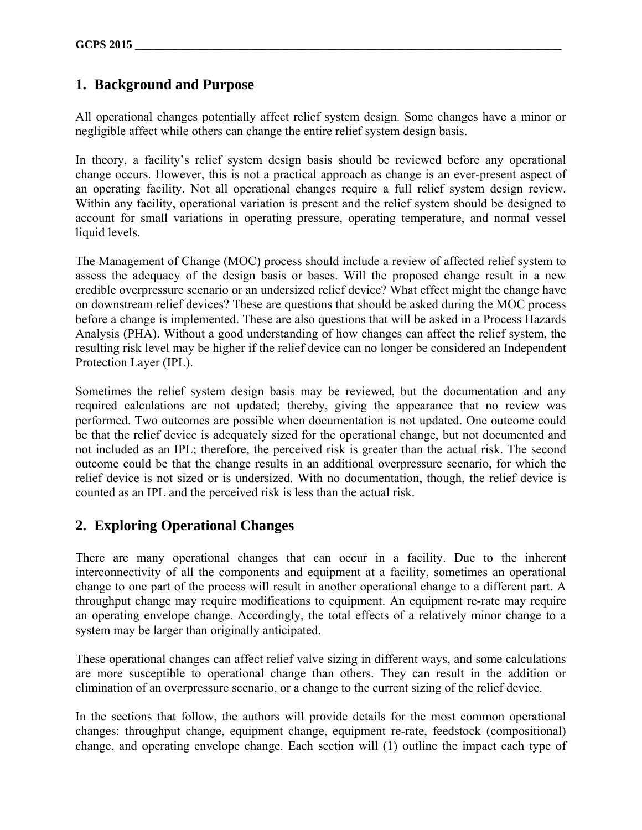### **1. Background and Purpose**

All operational changes potentially affect relief system design. Some changes have a minor or negligible affect while others can change the entire relief system design basis.

In theory, a facility's relief system design basis should be reviewed before any operational change occurs. However, this is not a practical approach as change is an ever-present aspect of an operating facility. Not all operational changes require a full relief system design review. Within any facility, operational variation is present and the relief system should be designed to account for small variations in operating pressure, operating temperature, and normal vessel liquid levels.

The Management of Change (MOC) process should include a review of affected relief system to assess the adequacy of the design basis or bases. Will the proposed change result in a new credible overpressure scenario or an undersized relief device? What effect might the change have on downstream relief devices? These are questions that should be asked during the MOC process before a change is implemented. These are also questions that will be asked in a Process Hazards Analysis (PHA). Without a good understanding of how changes can affect the relief system, the resulting risk level may be higher if the relief device can no longer be considered an Independent Protection Layer (IPL).

Sometimes the relief system design basis may be reviewed, but the documentation and any required calculations are not updated; thereby, giving the appearance that no review was performed. Two outcomes are possible when documentation is not updated. One outcome could be that the relief device is adequately sized for the operational change, but not documented and not included as an IPL; therefore, the perceived risk is greater than the actual risk. The second outcome could be that the change results in an additional overpressure scenario, for which the relief device is not sized or is undersized. With no documentation, though, the relief device is counted as an IPL and the perceived risk is less than the actual risk.

## **2. Exploring Operational Changes**

There are many operational changes that can occur in a facility. Due to the inherent interconnectivity of all the components and equipment at a facility, sometimes an operational change to one part of the process will result in another operational change to a different part. A throughput change may require modifications to equipment. An equipment re-rate may require an operating envelope change. Accordingly, the total effects of a relatively minor change to a system may be larger than originally anticipated.

These operational changes can affect relief valve sizing in different ways, and some calculations are more susceptible to operational change than others. They can result in the addition or elimination of an overpressure scenario, or a change to the current sizing of the relief device.

In the sections that follow, the authors will provide details for the most common operational changes: throughput change, equipment change, equipment re-rate, feedstock (compositional) change, and operating envelope change. Each section will (1) outline the impact each type of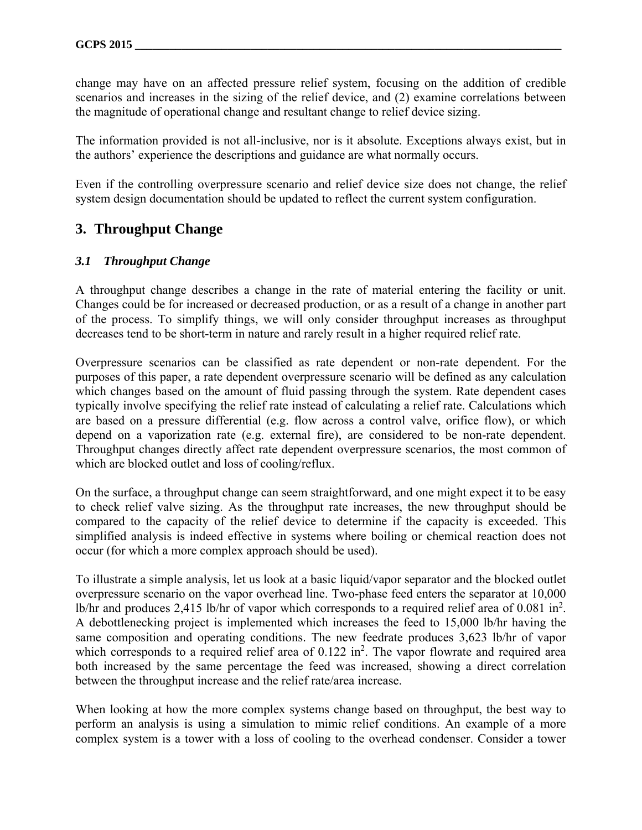change may have on an affected pressure relief system, focusing on the addition of credible scenarios and increases in the sizing of the relief device, and (2) examine correlations between the magnitude of operational change and resultant change to relief device sizing.

The information provided is not all-inclusive, nor is it absolute. Exceptions always exist, but in the authors' experience the descriptions and guidance are what normally occurs.

Even if the controlling overpressure scenario and relief device size does not change, the relief system design documentation should be updated to reflect the current system configuration.

### **3. Throughput Change**

#### *3.1 Throughput Change*

A throughput change describes a change in the rate of material entering the facility or unit. Changes could be for increased or decreased production, or as a result of a change in another part of the process. To simplify things, we will only consider throughput increases as throughput decreases tend to be short-term in nature and rarely result in a higher required relief rate.

Overpressure scenarios can be classified as rate dependent or non-rate dependent. For the purposes of this paper, a rate dependent overpressure scenario will be defined as any calculation which changes based on the amount of fluid passing through the system. Rate dependent cases typically involve specifying the relief rate instead of calculating a relief rate. Calculations which are based on a pressure differential (e.g. flow across a control valve, orifice flow), or which depend on a vaporization rate (e.g. external fire), are considered to be non-rate dependent. Throughput changes directly affect rate dependent overpressure scenarios, the most common of which are blocked outlet and loss of cooling/reflux.

On the surface, a throughput change can seem straightforward, and one might expect it to be easy to check relief valve sizing. As the throughput rate increases, the new throughput should be compared to the capacity of the relief device to determine if the capacity is exceeded. This simplified analysis is indeed effective in systems where boiling or chemical reaction does not occur (for which a more complex approach should be used).

To illustrate a simple analysis, let us look at a basic liquid/vapor separator and the blocked outlet overpressure scenario on the vapor overhead line. Two-phase feed enters the separator at 10,000 lb/hr and produces 2,415 lb/hr of vapor which corresponds to a required relief area of 0.081 in<sup>2</sup>. A debottlenecking project is implemented which increases the feed to 15,000 lb/hr having the same composition and operating conditions. The new feedrate produces 3,623 lb/hr of vapor which corresponds to a required relief area of  $0.122$  in<sup>2</sup>. The vapor flowrate and required area both increased by the same percentage the feed was increased, showing a direct correlation between the throughput increase and the relief rate/area increase.

When looking at how the more complex systems change based on throughput, the best way to perform an analysis is using a simulation to mimic relief conditions. An example of a more complex system is a tower with a loss of cooling to the overhead condenser. Consider a tower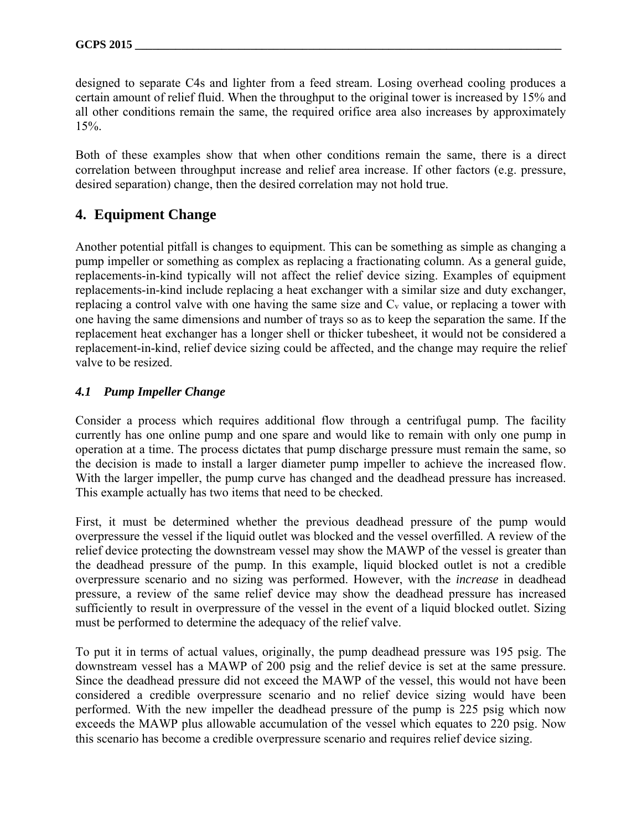designed to separate C4s and lighter from a feed stream. Losing overhead cooling produces a certain amount of relief fluid. When the throughput to the original tower is increased by 15% and all other conditions remain the same, the required orifice area also increases by approximately 15%.

Both of these examples show that when other conditions remain the same, there is a direct correlation between throughput increase and relief area increase. If other factors (e.g. pressure, desired separation) change, then the desired correlation may not hold true.

## **4. Equipment Change**

Another potential pitfall is changes to equipment. This can be something as simple as changing a pump impeller or something as complex as replacing a fractionating column. As a general guide, replacements-in-kind typically will not affect the relief device sizing. Examples of equipment replacements-in-kind include replacing a heat exchanger with a similar size and duty exchanger, replacing a control valve with one having the same size and C<sub>v</sub> value, or replacing a tower with one having the same dimensions and number of trays so as to keep the separation the same. If the replacement heat exchanger has a longer shell or thicker tubesheet, it would not be considered a replacement-in-kind, relief device sizing could be affected, and the change may require the relief valve to be resized.

#### *4.1 Pump Impeller Change*

Consider a process which requires additional flow through a centrifugal pump. The facility currently has one online pump and one spare and would like to remain with only one pump in operation at a time. The process dictates that pump discharge pressure must remain the same, so the decision is made to install a larger diameter pump impeller to achieve the increased flow. With the larger impeller, the pump curve has changed and the deadhead pressure has increased. This example actually has two items that need to be checked.

First, it must be determined whether the previous deadhead pressure of the pump would overpressure the vessel if the liquid outlet was blocked and the vessel overfilled. A review of the relief device protecting the downstream vessel may show the MAWP of the vessel is greater than the deadhead pressure of the pump. In this example, liquid blocked outlet is not a credible overpressure scenario and no sizing was performed. However, with the *increase* in deadhead pressure, a review of the same relief device may show the deadhead pressure has increased sufficiently to result in overpressure of the vessel in the event of a liquid blocked outlet. Sizing must be performed to determine the adequacy of the relief valve.

To put it in terms of actual values, originally, the pump deadhead pressure was 195 psig. The downstream vessel has a MAWP of 200 psig and the relief device is set at the same pressure. Since the deadhead pressure did not exceed the MAWP of the vessel, this would not have been considered a credible overpressure scenario and no relief device sizing would have been performed. With the new impeller the deadhead pressure of the pump is 225 psig which now exceeds the MAWP plus allowable accumulation of the vessel which equates to 220 psig. Now this scenario has become a credible overpressure scenario and requires relief device sizing.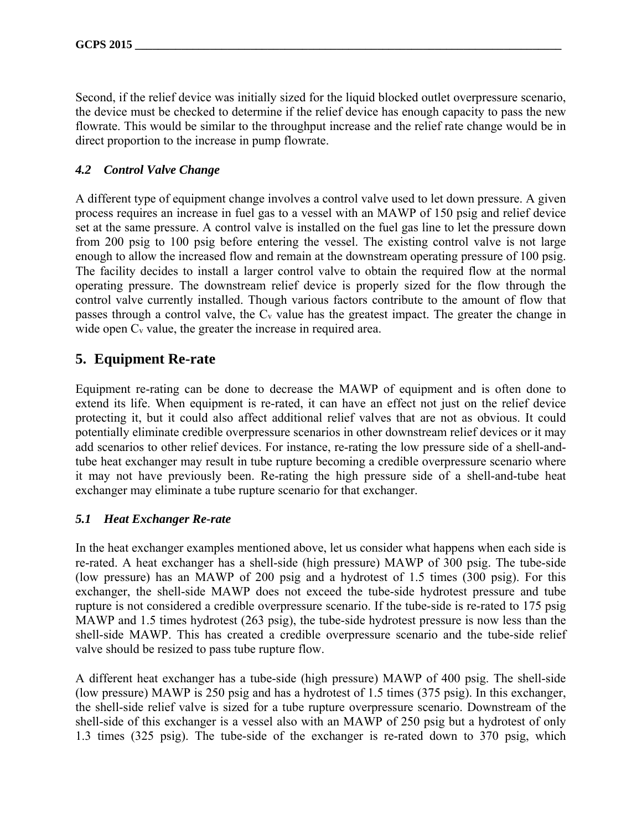Second, if the relief device was initially sized for the liquid blocked outlet overpressure scenario, the device must be checked to determine if the relief device has enough capacity to pass the new flowrate. This would be similar to the throughput increase and the relief rate change would be in direct proportion to the increase in pump flowrate.

#### *4.2 Control Valve Change*

A different type of equipment change involves a control valve used to let down pressure. A given process requires an increase in fuel gas to a vessel with an MAWP of 150 psig and relief device set at the same pressure. A control valve is installed on the fuel gas line to let the pressure down from 200 psig to 100 psig before entering the vessel. The existing control valve is not large enough to allow the increased flow and remain at the downstream operating pressure of 100 psig. The facility decides to install a larger control valve to obtain the required flow at the normal operating pressure. The downstream relief device is properly sized for the flow through the control valve currently installed. Though various factors contribute to the amount of flow that passes through a control valve, the  $C_v$  value has the greatest impact. The greater the change in wide open  $C_v$  value, the greater the increase in required area.

## **5. Equipment Re-rate**

Equipment re-rating can be done to decrease the MAWP of equipment and is often done to extend its life. When equipment is re-rated, it can have an effect not just on the relief device protecting it, but it could also affect additional relief valves that are not as obvious. It could potentially eliminate credible overpressure scenarios in other downstream relief devices or it may add scenarios to other relief devices. For instance, re-rating the low pressure side of a shell-andtube heat exchanger may result in tube rupture becoming a credible overpressure scenario where it may not have previously been. Re-rating the high pressure side of a shell-and-tube heat exchanger may eliminate a tube rupture scenario for that exchanger.

### *5.1 Heat Exchanger Re-rate*

In the heat exchanger examples mentioned above, let us consider what happens when each side is re-rated. A heat exchanger has a shell-side (high pressure) MAWP of 300 psig. The tube-side (low pressure) has an MAWP of 200 psig and a hydrotest of 1.5 times (300 psig). For this exchanger, the shell-side MAWP does not exceed the tube-side hydrotest pressure and tube rupture is not considered a credible overpressure scenario. If the tube-side is re-rated to 175 psig MAWP and 1.5 times hydrotest (263 psig), the tube-side hydrotest pressure is now less than the shell-side MAWP. This has created a credible overpressure scenario and the tube-side relief valve should be resized to pass tube rupture flow.

A different heat exchanger has a tube-side (high pressure) MAWP of 400 psig. The shell-side (low pressure) MAWP is 250 psig and has a hydrotest of 1.5 times (375 psig). In this exchanger, the shell-side relief valve is sized for a tube rupture overpressure scenario. Downstream of the shell-side of this exchanger is a vessel also with an MAWP of 250 psig but a hydrotest of only 1.3 times (325 psig). The tube-side of the exchanger is re-rated down to 370 psig, which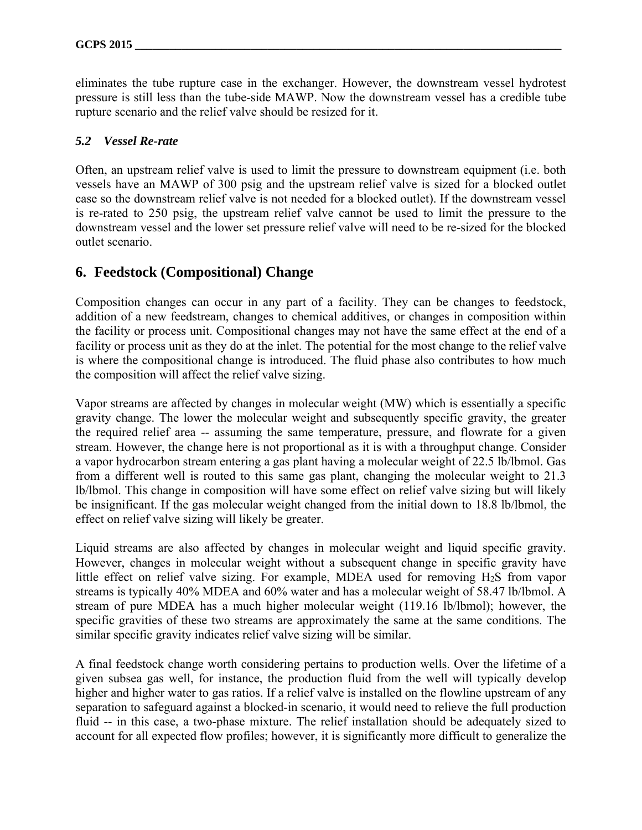eliminates the tube rupture case in the exchanger. However, the downstream vessel hydrotest pressure is still less than the tube-side MAWP. Now the downstream vessel has a credible tube rupture scenario and the relief valve should be resized for it.

#### *5.2 Vessel Re-rate*

Often, an upstream relief valve is used to limit the pressure to downstream equipment (i.e. both vessels have an MAWP of 300 psig and the upstream relief valve is sized for a blocked outlet case so the downstream relief valve is not needed for a blocked outlet). If the downstream vessel is re-rated to 250 psig, the upstream relief valve cannot be used to limit the pressure to the downstream vessel and the lower set pressure relief valve will need to be re-sized for the blocked outlet scenario.

### **6. Feedstock (Compositional) Change**

Composition changes can occur in any part of a facility. They can be changes to feedstock, addition of a new feedstream, changes to chemical additives, or changes in composition within the facility or process unit. Compositional changes may not have the same effect at the end of a facility or process unit as they do at the inlet. The potential for the most change to the relief valve is where the compositional change is introduced. The fluid phase also contributes to how much the composition will affect the relief valve sizing.

Vapor streams are affected by changes in molecular weight (MW) which is essentially a specific gravity change. The lower the molecular weight and subsequently specific gravity, the greater the required relief area -- assuming the same temperature, pressure, and flowrate for a given stream. However, the change here is not proportional as it is with a throughput change. Consider a vapor hydrocarbon stream entering a gas plant having a molecular weight of 22.5 lb/lbmol. Gas from a different well is routed to this same gas plant, changing the molecular weight to 21.3 lb/lbmol. This change in composition will have some effect on relief valve sizing but will likely be insignificant. If the gas molecular weight changed from the initial down to 18.8 lb/lbmol, the effect on relief valve sizing will likely be greater.

Liquid streams are also affected by changes in molecular weight and liquid specific gravity. However, changes in molecular weight without a subsequent change in specific gravity have little effect on relief valve sizing. For example, MDEA used for removing H2S from vapor streams is typically 40% MDEA and 60% water and has a molecular weight of 58.47 lb/lbmol. A stream of pure MDEA has a much higher molecular weight (119.16 lb/lbmol); however, the specific gravities of these two streams are approximately the same at the same conditions. The similar specific gravity indicates relief valve sizing will be similar.

A final feedstock change worth considering pertains to production wells. Over the lifetime of a given subsea gas well, for instance, the production fluid from the well will typically develop higher and higher water to gas ratios. If a relief valve is installed on the flowline upstream of any separation to safeguard against a blocked-in scenario, it would need to relieve the full production fluid -- in this case, a two-phase mixture. The relief installation should be adequately sized to account for all expected flow profiles; however, it is significantly more difficult to generalize the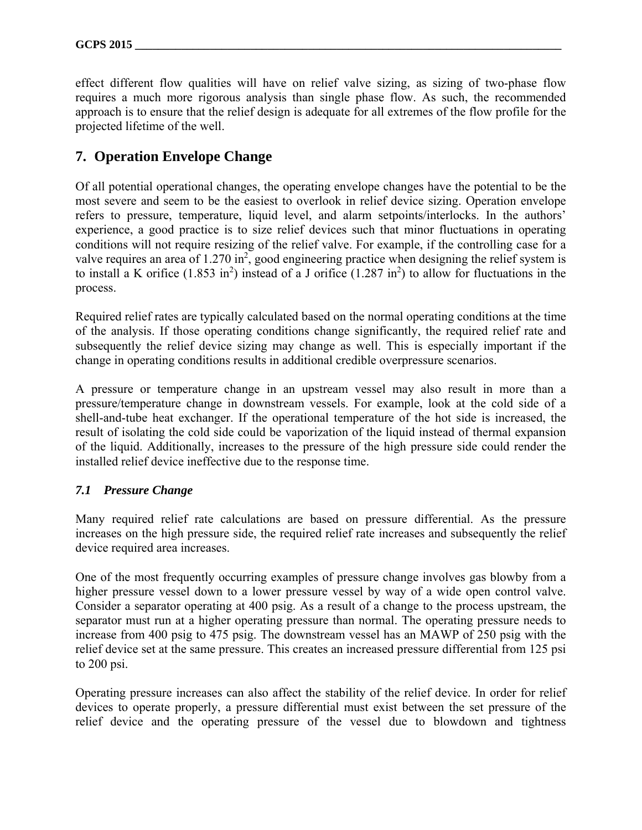effect different flow qualities will have on relief valve sizing, as sizing of two-phase flow requires a much more rigorous analysis than single phase flow. As such, the recommended approach is to ensure that the relief design is adequate for all extremes of the flow profile for the projected lifetime of the well.

### **7. Operation Envelope Change**

Of all potential operational changes, the operating envelope changes have the potential to be the most severe and seem to be the easiest to overlook in relief device sizing. Operation envelope refers to pressure, temperature, liquid level, and alarm setpoints/interlocks. In the authors' experience, a good practice is to size relief devices such that minor fluctuations in operating conditions will not require resizing of the relief valve. For example, if the controlling case for a valve requires an area of  $1.270$  in<sup>2</sup>, good engineering practice when designing the relief system is to install a K orifice  $(1.853 \text{ in}^2)$  instead of a J orifice  $(1.287 \text{ in}^2)$  to allow for fluctuations in the process.

Required relief rates are typically calculated based on the normal operating conditions at the time of the analysis. If those operating conditions change significantly, the required relief rate and subsequently the relief device sizing may change as well. This is especially important if the change in operating conditions results in additional credible overpressure scenarios.

A pressure or temperature change in an upstream vessel may also result in more than a pressure/temperature change in downstream vessels. For example, look at the cold side of a shell-and-tube heat exchanger. If the operational temperature of the hot side is increased, the result of isolating the cold side could be vaporization of the liquid instead of thermal expansion of the liquid. Additionally, increases to the pressure of the high pressure side could render the installed relief device ineffective due to the response time.

### *7.1 Pressure Change*

Many required relief rate calculations are based on pressure differential. As the pressure increases on the high pressure side, the required relief rate increases and subsequently the relief device required area increases.

One of the most frequently occurring examples of pressure change involves gas blowby from a higher pressure vessel down to a lower pressure vessel by way of a wide open control valve. Consider a separator operating at 400 psig. As a result of a change to the process upstream, the separator must run at a higher operating pressure than normal. The operating pressure needs to increase from 400 psig to 475 psig. The downstream vessel has an MAWP of 250 psig with the relief device set at the same pressure. This creates an increased pressure differential from 125 psi to 200 psi.

Operating pressure increases can also affect the stability of the relief device. In order for relief devices to operate properly, a pressure differential must exist between the set pressure of the relief device and the operating pressure of the vessel due to blowdown and tightness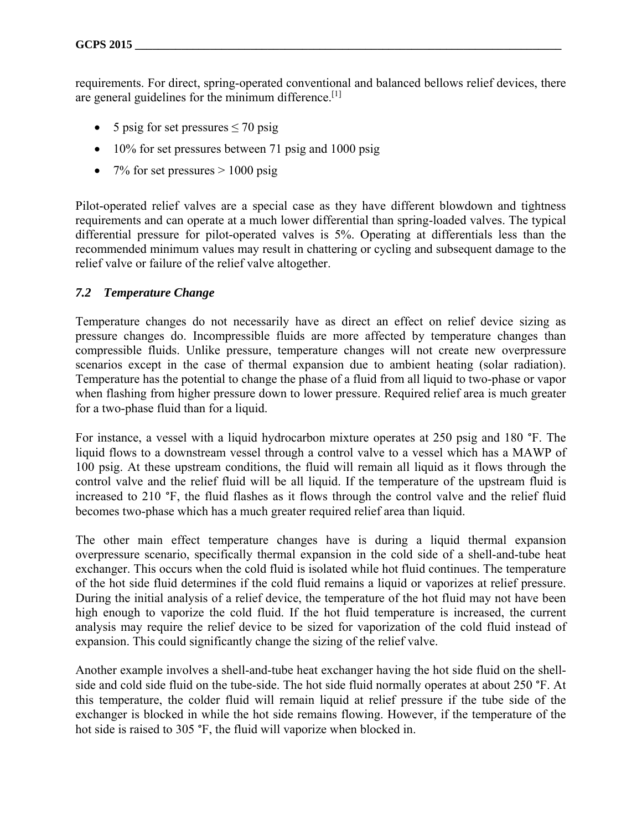requirements. For direct, spring-operated conventional and balanced bellows relief devices, there are general guidelines for the minimum difference.[1]

- 5 psig for set pressures  $\leq$  70 psig
- 10% for set pressures between 71 psig and 1000 psig
- 7% for set pressures  $> 1000$  psig

Pilot-operated relief valves are a special case as they have different blowdown and tightness requirements and can operate at a much lower differential than spring-loaded valves. The typical differential pressure for pilot-operated valves is 5%. Operating at differentials less than the recommended minimum values may result in chattering or cycling and subsequent damage to the relief valve or failure of the relief valve altogether.

#### *7.2 Temperature Change*

Temperature changes do not necessarily have as direct an effect on relief device sizing as pressure changes do. Incompressible fluids are more affected by temperature changes than compressible fluids. Unlike pressure, temperature changes will not create new overpressure scenarios except in the case of thermal expansion due to ambient heating (solar radiation). Temperature has the potential to change the phase of a fluid from all liquid to two-phase or vapor when flashing from higher pressure down to lower pressure. Required relief area is much greater for a two-phase fluid than for a liquid.

For instance, a vessel with a liquid hydrocarbon mixture operates at 250 psig and 180 °F. The liquid flows to a downstream vessel through a control valve to a vessel which has a MAWP of 100 psig. At these upstream conditions, the fluid will remain all liquid as it flows through the control valve and the relief fluid will be all liquid. If the temperature of the upstream fluid is increased to 210 °F, the fluid flashes as it flows through the control valve and the relief fluid becomes two-phase which has a much greater required relief area than liquid.

The other main effect temperature changes have is during a liquid thermal expansion overpressure scenario, specifically thermal expansion in the cold side of a shell-and-tube heat exchanger. This occurs when the cold fluid is isolated while hot fluid continues. The temperature of the hot side fluid determines if the cold fluid remains a liquid or vaporizes at relief pressure. During the initial analysis of a relief device, the temperature of the hot fluid may not have been high enough to vaporize the cold fluid. If the hot fluid temperature is increased, the current analysis may require the relief device to be sized for vaporization of the cold fluid instead of expansion. This could significantly change the sizing of the relief valve.

Another example involves a shell-and-tube heat exchanger having the hot side fluid on the shellside and cold side fluid on the tube-side. The hot side fluid normally operates at about 250 °F. At this temperature, the colder fluid will remain liquid at relief pressure if the tube side of the exchanger is blocked in while the hot side remains flowing. However, if the temperature of the hot side is raised to 305 °F, the fluid will vaporize when blocked in.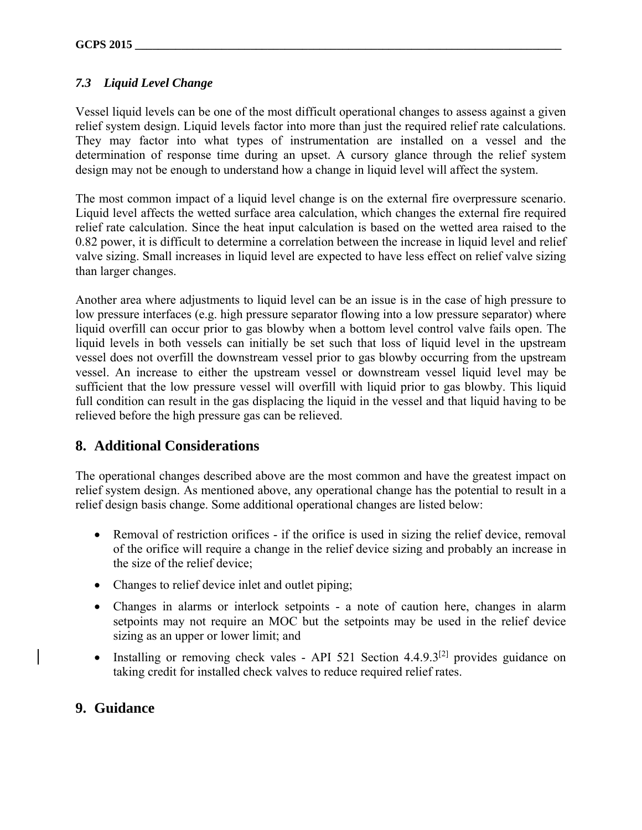### *7.3 Liquid Level Change*

Vessel liquid levels can be one of the most difficult operational changes to assess against a given relief system design. Liquid levels factor into more than just the required relief rate calculations. They may factor into what types of instrumentation are installed on a vessel and the determination of response time during an upset. A cursory glance through the relief system design may not be enough to understand how a change in liquid level will affect the system.

The most common impact of a liquid level change is on the external fire overpressure scenario. Liquid level affects the wetted surface area calculation, which changes the external fire required relief rate calculation. Since the heat input calculation is based on the wetted area raised to the 0.82 power, it is difficult to determine a correlation between the increase in liquid level and relief valve sizing. Small increases in liquid level are expected to have less effect on relief valve sizing than larger changes.

Another area where adjustments to liquid level can be an issue is in the case of high pressure to low pressure interfaces (e.g. high pressure separator flowing into a low pressure separator) where liquid overfill can occur prior to gas blowby when a bottom level control valve fails open. The liquid levels in both vessels can initially be set such that loss of liquid level in the upstream vessel does not overfill the downstream vessel prior to gas blowby occurring from the upstream vessel. An increase to either the upstream vessel or downstream vessel liquid level may be sufficient that the low pressure vessel will overfill with liquid prior to gas blowby. This liquid full condition can result in the gas displacing the liquid in the vessel and that liquid having to be relieved before the high pressure gas can be relieved.

## **8. Additional Considerations**

The operational changes described above are the most common and have the greatest impact on relief system design. As mentioned above, any operational change has the potential to result in a relief design basis change. Some additional operational changes are listed below:

- Removal of restriction orifices if the orifice is used in sizing the relief device, removal of the orifice will require a change in the relief device sizing and probably an increase in the size of the relief device;
- Changes to relief device inlet and outlet piping;
- Changes in alarms or interlock setpoints a note of caution here, changes in alarm setpoints may not require an MOC but the setpoints may be used in the relief device sizing as an upper or lower limit; and
- Installing or removing check vales API 521 Section  $4.4.9.3^{[2]}$  provides guidance on taking credit for installed check valves to reduce required relief rates.

### **9. Guidance**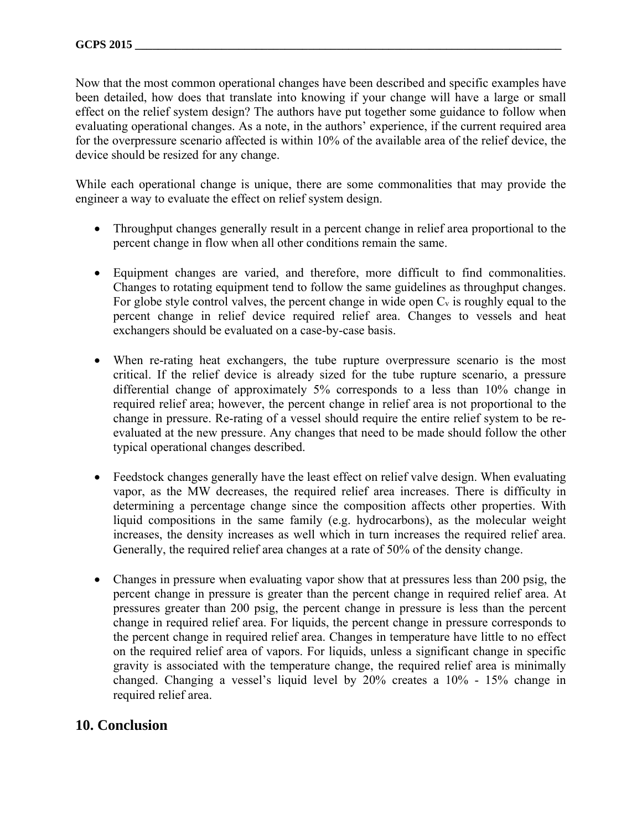Now that the most common operational changes have been described and specific examples have been detailed, how does that translate into knowing if your change will have a large or small effect on the relief system design? The authors have put together some guidance to follow when evaluating operational changes. As a note, in the authors' experience, if the current required area for the overpressure scenario affected is within 10% of the available area of the relief device, the device should be resized for any change.

While each operational change is unique, there are some commonalities that may provide the engineer a way to evaluate the effect on relief system design.

- Throughput changes generally result in a percent change in relief area proportional to the percent change in flow when all other conditions remain the same.
- Equipment changes are varied, and therefore, more difficult to find commonalities. Changes to rotating equipment tend to follow the same guidelines as throughput changes. For globe style control valves, the percent change in wide open  $C_v$  is roughly equal to the percent change in relief device required relief area. Changes to vessels and heat exchangers should be evaluated on a case-by-case basis.
- When re-rating heat exchangers, the tube rupture overpressure scenario is the most critical. If the relief device is already sized for the tube rupture scenario, a pressure differential change of approximately 5% corresponds to a less than 10% change in required relief area; however, the percent change in relief area is not proportional to the change in pressure. Re-rating of a vessel should require the entire relief system to be reevaluated at the new pressure. Any changes that need to be made should follow the other typical operational changes described.
- Feedstock changes generally have the least effect on relief valve design. When evaluating vapor, as the MW decreases, the required relief area increases. There is difficulty in determining a percentage change since the composition affects other properties. With liquid compositions in the same family (e.g. hydrocarbons), as the molecular weight increases, the density increases as well which in turn increases the required relief area. Generally, the required relief area changes at a rate of 50% of the density change.
- Changes in pressure when evaluating vapor show that at pressures less than 200 psig, the percent change in pressure is greater than the percent change in required relief area. At pressures greater than 200 psig, the percent change in pressure is less than the percent change in required relief area. For liquids, the percent change in pressure corresponds to the percent change in required relief area. Changes in temperature have little to no effect on the required relief area of vapors. For liquids, unless a significant change in specific gravity is associated with the temperature change, the required relief area is minimally changed. Changing a vessel's liquid level by 20% creates a 10% - 15% change in required relief area.

### **10. Conclusion**